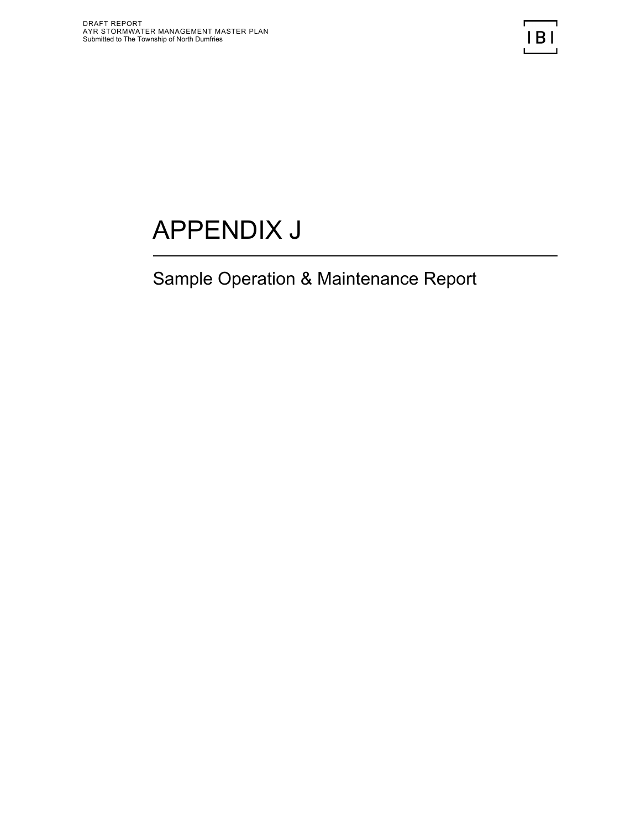# APPENDIX J

# Sample Operation & Maintenance Report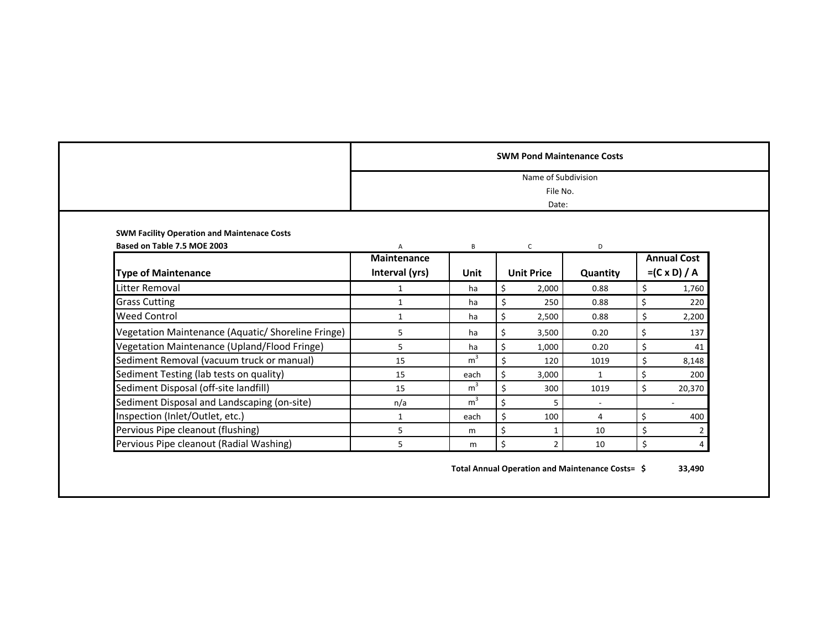|                                                                                   |                         |                | Name of Subdivision<br>File No.<br>Date: |              |                     |
|-----------------------------------------------------------------------------------|-------------------------|----------------|------------------------------------------|--------------|---------------------|
| <b>SWM Facility Operation and Maintenace Costs</b><br>Based on Table 7.5 MOE 2003 | Α<br><b>Maintenance</b> | B              | $\mathsf{C}$                             | D            | <b>Annual Cost</b>  |
| <b>Type of Maintenance</b>                                                        | Interval (yrs)          | Unit           | <b>Unit Price</b>                        | Quantity     | $=(C \times D) / A$ |
| <b>Litter Removal</b>                                                             | $\mathbf{1}$            | ha             | 2,000<br>Ś                               | 0.88         | \$<br>1,760         |
| <b>Grass Cutting</b>                                                              | $\mathbf{1}$            | ha             | \$<br>250                                | 0.88         | \$<br>220           |
| <b>Weed Control</b>                                                               | $\mathbf{1}$            | ha             | Ś<br>2,500                               | 0.88         | \$<br>2,200         |
| Vegetation Maintenance (Aquatic/ Shoreline Fringe)                                | 5                       | ha             | 3,500                                    | 0.20         | \$<br>137           |
| Vegetation Maintenance (Upland/Flood Fringe)                                      | 5                       | ha             | 1,000                                    | 0.20         | \$<br>41            |
| Sediment Removal (vacuum truck or manual)                                         | 15                      | m <sup>3</sup> | 120                                      | 1019         | \$<br>8,148         |
| Sediment Testing (lab tests on quality)                                           | 15                      | each           | \$<br>3,000                              | $\mathbf{1}$ | \$<br>200           |
| Sediment Disposal (off-site landfill)                                             | 15                      | m <sup>3</sup> | 300                                      | 1019         | \$<br>20,370        |
| Sediment Disposal and Landscaping (on-site)                                       | n/a                     | m <sup>3</sup> | ς<br>5                                   |              |                     |
| Inspection (Inlet/Outlet, etc.)                                                   | $\mathbf{1}$            | each           | 100                                      | 4            | \$<br>400           |
| Pervious Pipe cleanout (flushing)                                                 | 5                       | m              | Ś<br>1                                   | 10           | \$<br>2             |
| Pervious Pipe cleanout (Radial Washing)                                           | 5                       | m              | \$<br>$\overline{2}$                     | 10           | \$<br>4             |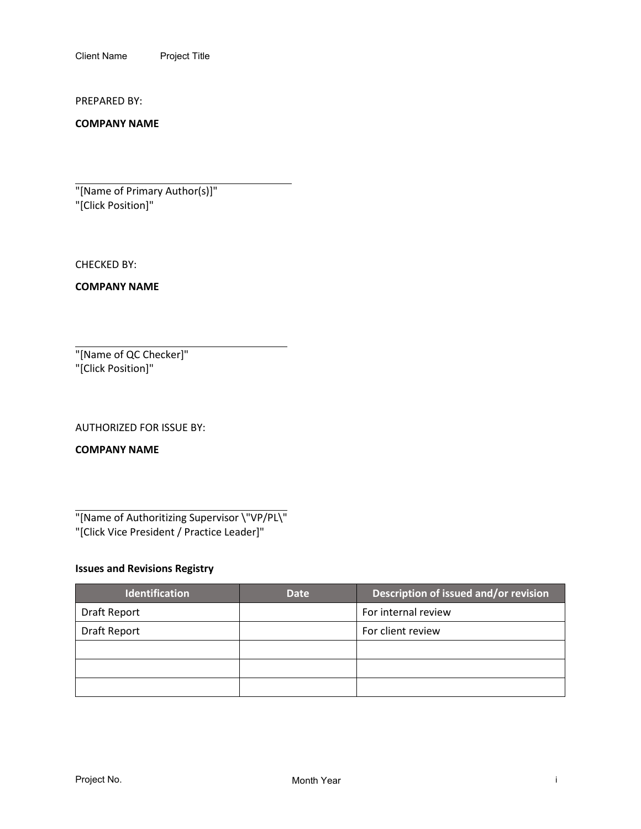Client Name Project Title

PREPARED BY:

**COMPANY NAME**

"[Name of Primary Author(s)]" "[Click Position]"

CHECKED BY:

**COMPANY NAME**

"[Name of QC Checker]" "[Click Position]"

AUTHORIZED FOR ISSUE BY:

**COMPANY NAME**

"[Name of Authoritizing Supervisor \"VP/PL\" "[Click Vice President / Practice Leader]"

## **Issues and Revisions Registry**

| <b>Identification</b> | <b>Date</b> | Description of issued and/or revision |
|-----------------------|-------------|---------------------------------------|
| Draft Report          |             | For internal review                   |
| <b>Draft Report</b>   |             | For client review                     |
|                       |             |                                       |
|                       |             |                                       |
|                       |             |                                       |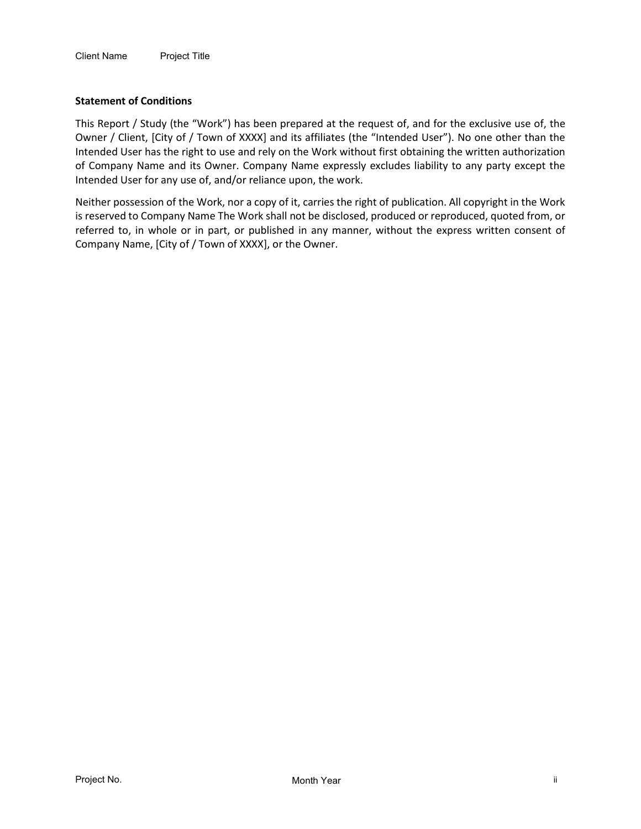#### **Statement of Conditions**

This Report / Study (the "Work") has been prepared at the request of, and for the exclusive use of, the Owner / Client, [City of / Town of XXXX] and its affiliates (the "Intended User"). No one other than the Intended User has the right to use and rely on the Work without first obtaining the written authorization of Company Name and its Owner. Company Name expressly excludes liability to any party except the Intended User for any use of, and/or reliance upon, the work.

Neither possession of the Work, nor a copy of it, carries the right of publication. All copyright in the Work is reserved to Company Name The Work shall not be disclosed, produced or reproduced, quoted from, or referred to, in whole or in part, or published in any manner, without the express written consent of Company Name, [City of / Town of XXXX], or the Owner.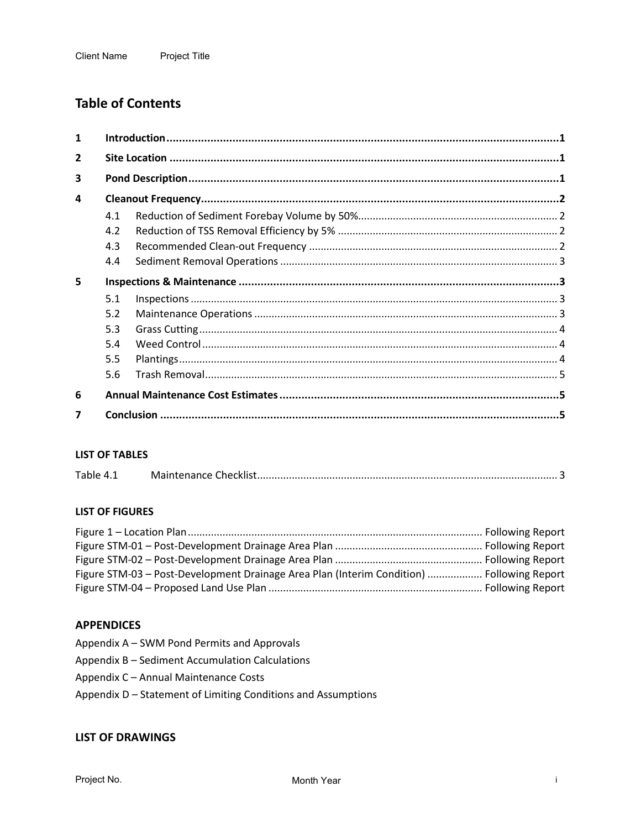# **Table of Contents**

| $\mathbf{1}$            |     |  |  |
|-------------------------|-----|--|--|
| $\overline{2}$          |     |  |  |
| 3                       |     |  |  |
| 4                       |     |  |  |
|                         | 4.1 |  |  |
|                         | 4.2 |  |  |
|                         | 4.3 |  |  |
|                         | 4.4 |  |  |
| 5                       |     |  |  |
|                         | 5.1 |  |  |
|                         | 5.2 |  |  |
|                         | 5.3 |  |  |
|                         | 5.4 |  |  |
|                         | 5.5 |  |  |
|                         | 5.6 |  |  |
| 6                       |     |  |  |
| $\overline{\mathbf{z}}$ |     |  |  |

#### **LIST OF TABLES**

| Table 4.1 |  |  |
|-----------|--|--|
|-----------|--|--|

#### **LIST OF FIGURES**

| Figure STM-03 - Post-Development Drainage Area Plan (Interim Condition)  Following Report |  |
|-------------------------------------------------------------------------------------------|--|
|                                                                                           |  |

#### **APPENDICES**

- Appendix A SWM Pond Permits and Approvals
- Appendix B Sediment Accumulation Calculations
- Appendix C Annual Maintenance Costs
- Appendix D Statement of Limiting Conditions and Assumptions

#### **LIST OF DRAWINGS**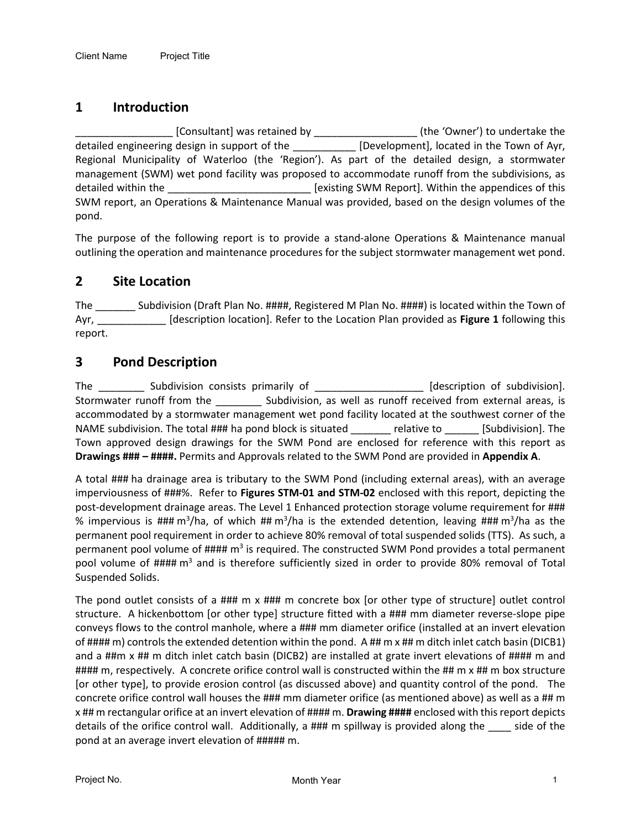# **1 Introduction**

\_\_\_\_\_\_\_\_\_\_\_\_\_\_\_\_\_ [Consultant] was retained by \_\_\_\_\_\_\_\_\_\_\_\_\_\_\_\_\_\_ (the 'Owner') to undertake the detailed engineering design in support of the [Development], located in the Town of Ayr, Regional Municipality of Waterloo (the 'Region'). As part of the detailed design, a stormwater management (SWM) wet pond facility was proposed to accommodate runoff from the subdivisions, as detailed within the \_\_\_\_\_\_\_\_\_\_\_\_\_\_\_\_\_\_\_\_\_\_\_\_\_\_\_\_\_\_\_\_\_\_ [existing SWM Report]. Within the appendices of this SWM report, an Operations & Maintenance Manual was provided, based on the design volumes of the pond.

The purpose of the following report is to provide a stand-alone Operations & Maintenance manual outlining the operation and maintenance procedures for the subject stormwater management wet pond.

# **2 Site Location**

The \_\_\_\_\_\_\_ Subdivision (Draft Plan No. ####, Registered M Plan No. ####) is located within the Town of Ayr, \_\_\_\_\_\_\_\_\_\_\_\_ [description location]. Refer to the Location Plan provided as **Figure 1** following this report.

# **3 Pond Description**

The Subdivision consists primarily of [description of subdivision]. Stormwater runoff from the \_\_\_\_\_\_\_\_ Subdivision, as well as runoff received from external areas, is accommodated by a stormwater management wet pond facility located at the southwest corner of the NAME subdivision. The total ### ha pond block is situated \_\_\_\_\_\_\_ relative to \_\_\_\_\_\_ [Subdivision]. The Town approved design drawings for the SWM Pond are enclosed for reference with this report as **Drawings ### – ####.** Permits and Approvals related to the SWM Pond are provided in **Appendix A**.

A total ### ha drainage area is tributary to the SWM Pond (including external areas), with an average imperviousness of ###%. Refer to **Figures STM-01 and STM-02** enclosed with this report, depicting the post-development drainage areas. The Level 1 Enhanced protection storage volume requirement for ### % impervious is ### m<sup>3</sup>/ha, of which ## m<sup>3</sup>/ha is the extended detention, leaving ### m<sup>3</sup>/ha as the permanent pool requirement in order to achieve 80% removal of total suspended solids (TTS). As such, a permanent pool volume of #### m<sup>3</sup> is required. The constructed SWM Pond provides a total permanent pool volume of #### m<sup>3</sup> and is therefore sufficiently sized in order to provide 80% removal of Total Suspended Solids.

The pond outlet consists of a ### m x ### m concrete box [or other type of structure] outlet control structure. A hickenbottom [or other type] structure fitted with a ### mm diameter reverse-slope pipe conveys flows to the control manhole, where a ### mm diameter orifice (installed at an invert elevation of #### m) controls the extended detention within the pond. A ## m x ## m ditch inlet catch basin (DICB1) and a ##m x ## m ditch inlet catch basin (DICB2) are installed at grate invert elevations of #### m and #### m, respectively. A concrete orifice control wall is constructed within the ## m x ## m box structure [or other type], to provide erosion control (as discussed above) and quantity control of the pond. The concrete orifice control wall houses the ### mm diameter orifice (as mentioned above) as well as a ## m x ## m rectangular orifice at an invert elevation of #### m. **Drawing ####** enclosed with this report depicts details of the orifice control wall. Additionally, a ### m spillway is provided along the side of the pond at an average invert elevation of ##### m.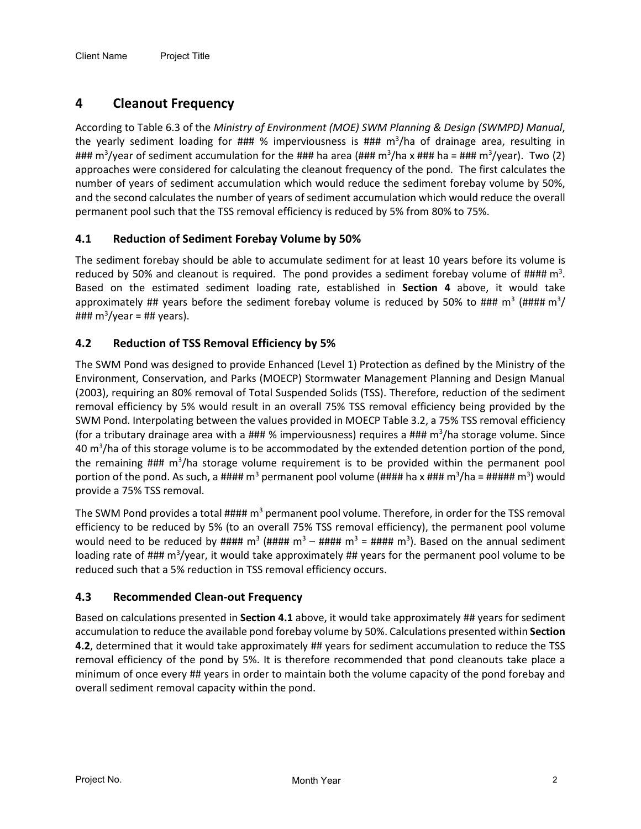# <span id="page-7-0"></span>**4 Cleanout Frequency**

According to Table 6.3 of the *Ministry of Environment (MOE) SWM Planning & Design (SWMPD) Manual*, the yearly sediment loading for ### % imperviousness is ### m<sup>3</sup>/ha of drainage area, resulting in ### m<sup>3</sup>/year of sediment accumulation for the ### ha area (### m<sup>3</sup>/ha x ### ha = ### m<sup>3</sup>/year). Two (2) approaches were considered for calculating the cleanout frequency of the pond. The first calculates the number of years of sediment accumulation which would reduce the sediment forebay volume by 50%, and the second calculates the number of years of sediment accumulation which would reduce the overall permanent pool such that the TSS removal efficiency is reduced by 5% from 80% to 75%.

## <span id="page-7-1"></span>**4.1 Reduction of Sediment Forebay Volume by 50%**

The sediment forebay should be able to accumulate sediment for at least 10 years before its volume is reduced by 50% and cleanout is required. The pond provides a sediment forebay volume of  $\text{HHHH}$  m<sup>3</sup>. Based on the estimated sediment loading rate, established in **Section [4](#page-7-0)** above, it would take approximately ## years before the sediment forebay volume is reduced by 50% to ### m<sup>3</sup> (#### m<sup>3</sup>/ ### m3 /year = ## years).

#### <span id="page-7-2"></span>**4.2 Reduction of TSS Removal Efficiency by 5%**

The SWM Pond was designed to provide Enhanced (Level 1) Protection as defined by the Ministry of the Environment, Conservation, and Parks (MOECP) Stormwater Management Planning and Design Manual (2003), requiring an 80% removal of Total Suspended Solids (TSS). Therefore, reduction of the sediment removal efficiency by 5% would result in an overall 75% TSS removal efficiency being provided by the SWM Pond. Interpolating between the values provided in MOECP Table 3.2, a 75% TSS removal efficiency (for a tributary drainage area with a  $\# \# \%$  imperviousness) requires a  $\# \# \text{ m}^3/\text{ha}$  storage volume. Since 40 m<sup>3</sup>/ha of this storage volume is to be accommodated by the extended detention portion of the pond, the remaining ### m<sup>3</sup>/ha storage volume requirement is to be provided within the permanent pool portion of the pond. As such, a #### m<sup>3</sup> permanent pool volume (#### ha x ### m<sup>3</sup>/ha = ##### m<sup>3</sup>) would provide a 75% TSS removal.

The SWM Pond provides a total  $\# \# \# \mathfrak{m}^3$  permanent pool volume. Therefore, in order for the TSS removal efficiency to be reduced by 5% (to an overall 75% TSS removal efficiency), the permanent pool volume would need to be reduced by #### m<sup>3</sup> (#### m<sup>3</sup> – #### m<sup>3</sup> = #### m<sup>3</sup>). Based on the annual sediment loading rate of ### m<sup>3</sup>/year, it would take approximately ## years for the permanent pool volume to be reduced such that a 5% reduction in TSS removal efficiency occurs.

#### **4.3 Recommended Clean-out Frequency**

Based on calculations presented in **Section [4.1](#page-7-1)** above, it would take approximately ## years for sediment accumulation to reduce the available pond forebay volume by 50%. Calculations presented within **Section [4.2](#page-7-2)**, determined that it would take approximately ## years for sediment accumulation to reduce the TSS removal efficiency of the pond by 5%. It is therefore recommended that pond cleanouts take place a minimum of once every ## years in order to maintain both the volume capacity of the pond forebay and overall sediment removal capacity within the pond.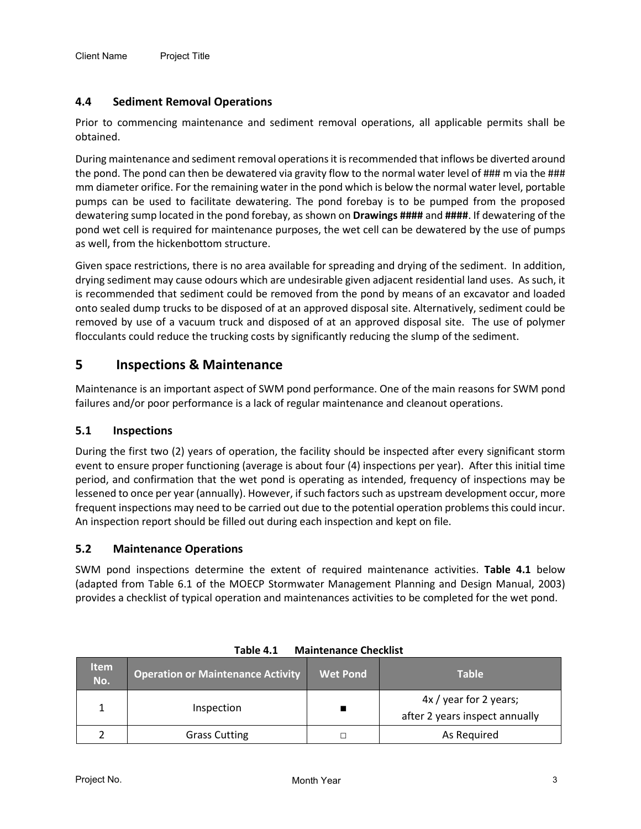#### **4.4 Sediment Removal Operations**

Prior to commencing maintenance and sediment removal operations, all applicable permits shall be obtained.

During maintenance and sediment removal operations it is recommended that inflows be diverted around the pond. The pond can then be dewatered via gravity flow to the normal water level of ### m via the ### mm diameter orifice. For the remaining water in the pond which is below the normal water level, portable pumps can be used to facilitate dewatering. The pond forebay is to be pumped from the proposed dewatering sump located in the pond forebay, as shown on **Drawings ####** and **####**. If dewatering of the pond wet cell is required for maintenance purposes, the wet cell can be dewatered by the use of pumps as well, from the hickenbottom structure.

Given space restrictions, there is no area available for spreading and drying of the sediment. In addition, drying sediment may cause odours which are undesirable given adjacent residential land uses. As such, it is recommended that sediment could be removed from the pond by means of an excavator and loaded onto sealed dump trucks to be disposed of at an approved disposal site. Alternatively, sediment could be removed by use of a vacuum truck and disposed of at an approved disposal site. The use of polymer flocculants could reduce the trucking costs by significantly reducing the slump of the sediment.

# **5 Inspections & Maintenance**

Maintenance is an important aspect of SWM pond performance. One of the main reasons for SWM pond failures and/or poor performance is a lack of regular maintenance and cleanout operations.

#### **5.1 Inspections**

During the first two (2) years of operation, the facility should be inspected after every significant storm event to ensure proper functioning (average is about four (4) inspections per year). After this initial time period, and confirmation that the wet pond is operating as intended, frequency of inspections may be lessened to once per year (annually). However, if such factors such as upstream development occur, more frequent inspections may need to be carried out due to the potential operation problems this could incur. An inspection report should be filled out during each inspection and kept on file.

#### **5.2 Maintenance Operations**

SWM pond inspections determine the extent of required maintenance activities. **[Table 4.1](#page-8-0)** below (adapted from Table 6.1 of the MOECP Stormwater Management Planning and Design Manual, 2003) provides a checklist of typical operation and maintenances activities to be completed for the wet pond.

<span id="page-8-0"></span>

| <b>Item</b><br>No. | <b>Operation or Maintenance Activity</b> | <b>Wet Pond</b> | <b>Table</b>                                             |
|--------------------|------------------------------------------|-----------------|----------------------------------------------------------|
|                    | Inspection                               |                 | 4x / year for 2 years;<br>after 2 years inspect annually |
|                    | <b>Grass Cutting</b>                     |                 | As Required                                              |

| <b>Maintenance Checklist</b><br>Table 4.1 |  |
|-------------------------------------------|--|
|-------------------------------------------|--|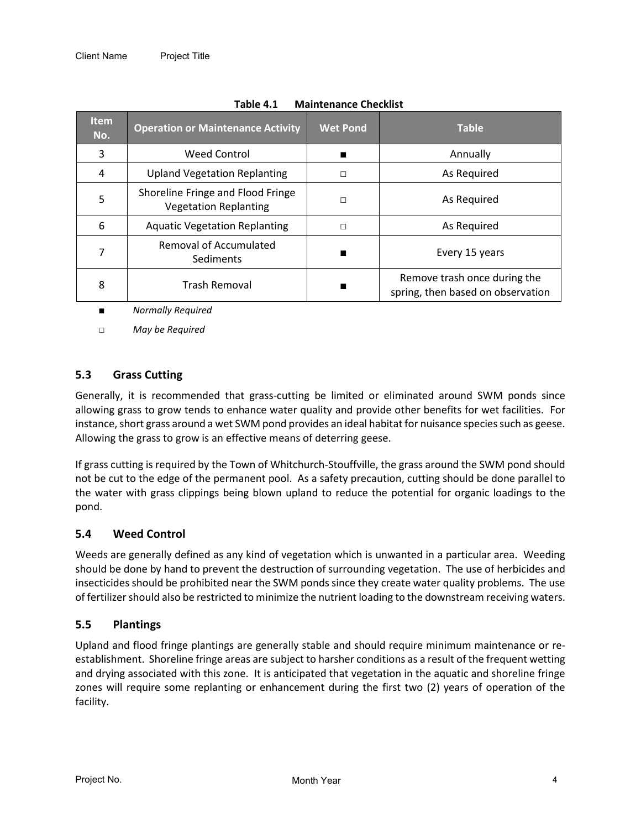| <b>Item</b><br>No. | <b>Operation or Maintenance Activity</b>                          | <b>Wet Pond</b> | <b>Table</b>                                                      |
|--------------------|-------------------------------------------------------------------|-----------------|-------------------------------------------------------------------|
| 3                  | <b>Weed Control</b>                                               |                 | Annually                                                          |
| 4                  | <b>Upland Vegetation Replanting</b>                               | П               | As Required                                                       |
| 5                  | Shoreline Fringe and Flood Fringe<br><b>Vegetation Replanting</b> | П               | As Required                                                       |
| 6                  | <b>Aquatic Vegetation Replanting</b>                              | $\Box$          | As Required                                                       |
|                    | <b>Removal of Accumulated</b><br>Sediments                        | п               | Every 15 years                                                    |
| 8                  | Trash Removal                                                     | ■               | Remove trash once during the<br>spring, then based on observation |

| Table 4.1 | <b>Maintenance Checklist</b> |  |
|-----------|------------------------------|--|
|-----------|------------------------------|--|

*■ Normally Required*

□ *May be Required*

#### **5.3 Grass Cutting**

Generally, it is recommended that grass-cutting be limited or eliminated around SWM ponds since allowing grass to grow tends to enhance water quality and provide other benefits for wet facilities. For instance, short grass around a wet SWM pond provides an ideal habitat for nuisance species such as geese. Allowing the grass to grow is an effective means of deterring geese.

If grass cutting is required by the Town of Whitchurch-Stouffville, the grass around the SWM pond should not be cut to the edge of the permanent pool. As a safety precaution, cutting should be done parallel to the water with grass clippings being blown upland to reduce the potential for organic loadings to the pond.

#### **5.4 Weed Control**

Weeds are generally defined as any kind of vegetation which is unwanted in a particular area. Weeding should be done by hand to prevent the destruction of surrounding vegetation. The use of herbicides and insecticides should be prohibited near the SWM ponds since they create water quality problems. The use of fertilizer should also be restricted to minimize the nutrient loading to the downstream receiving waters.

#### **5.5 Plantings**

Upland and flood fringe plantings are generally stable and should require minimum maintenance or reestablishment. Shoreline fringe areas are subject to harsher conditions as a result of the frequent wetting and drying associated with this zone. It is anticipated that vegetation in the aquatic and shoreline fringe zones will require some replanting or enhancement during the first two (2) years of operation of the facility.